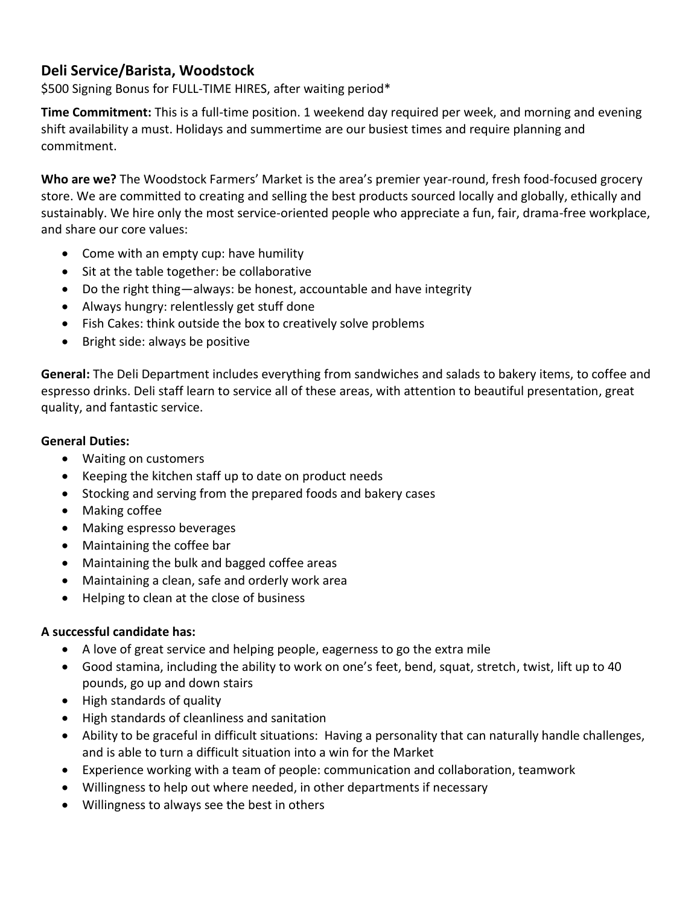## **Deli Service/Barista, Woodstock**

\$500 Signing Bonus for FULL-TIME HIRES, after waiting period\*

**Time Commitment:** This is a full-time position. 1 weekend day required per week, and morning and evening shift availability a must. Holidays and summertime are our busiest times and require planning and commitment.

**Who are we?** The Woodstock Farmers' Market is the area's premier year-round, fresh food-focused grocery store. We are committed to creating and selling the best products sourced locally and globally, ethically and sustainably. We hire only the most service-oriented people who appreciate a fun, fair, drama-free workplace, and share our core values:

- Come with an empty cup: have humility
- Sit at the table together: be collaborative
- Do the right thing—always: be honest, accountable and have integrity
- Always hungry: relentlessly get stuff done
- Fish Cakes: think outside the box to creatively solve problems
- Bright side: always be positive

**General:** The Deli Department includes everything from sandwiches and salads to bakery items, to coffee and espresso drinks. Deli staff learn to service all of these areas, with attention to beautiful presentation, great quality, and fantastic service.

## **General Duties:**

- Waiting on customers
- Keeping the kitchen staff up to date on product needs
- Stocking and serving from the prepared foods and bakery cases
- Making coffee
- Making espresso beverages
- Maintaining the coffee bar
- Maintaining the bulk and bagged coffee areas
- Maintaining a clean, safe and orderly work area
- Helping to clean at the close of business

## **A successful candidate has:**

- A love of great service and helping people, eagerness to go the extra mile
- Good stamina, including the ability to work on one's feet, bend, squat, stretch, twist, lift up to 40 pounds, go up and down stairs
- High standards of quality
- High standards of cleanliness and sanitation
- Ability to be graceful in difficult situations: Having a personality that can naturally handle challenges, and is able to turn a difficult situation into a win for the Market
- Experience working with a team of people: communication and collaboration, teamwork
- Willingness to help out where needed, in other departments if necessary
- Willingness to always see the best in others